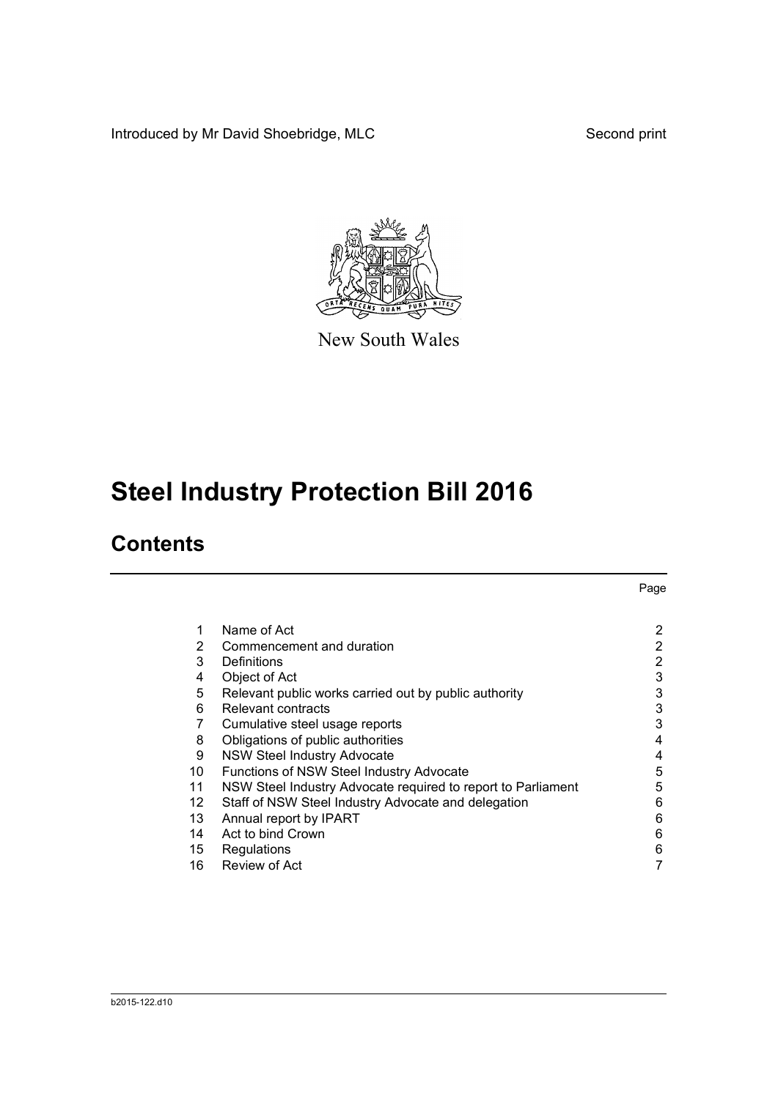Introduced by Mr David Shoebridge, MLC Second print



New South Wales

# **Steel Industry Protection Bill 2016**

### **Contents**

|    |                                                              | Page           |
|----|--------------------------------------------------------------|----------------|
| 1  | Name of Act                                                  | $\overline{2}$ |
| 2  | Commencement and duration                                    | $\overline{2}$ |
| 3  | Definitions                                                  | 2              |
| 4  | Object of Act                                                | 3              |
| 5  | Relevant public works carried out by public authority        | 3              |
| 6  | Relevant contracts                                           | 3              |
| 7  | Cumulative steel usage reports                               | 3              |
| 8  | Obligations of public authorities                            | 4              |
| 9  | <b>NSW Steel Industry Advocate</b>                           | 4              |
| 10 | <b>Functions of NSW Steel Industry Advocate</b>              | 5              |
| 11 | NSW Steel Industry Advocate required to report to Parliament | 5              |
| 12 | Staff of NSW Steel Industry Advocate and delegation          | 6              |
| 13 | Annual report by IPART                                       | 6              |
| 14 | Act to bind Crown                                            | 6              |
| 15 | Regulations                                                  | 6              |
| 16 | Review of Act                                                | 7              |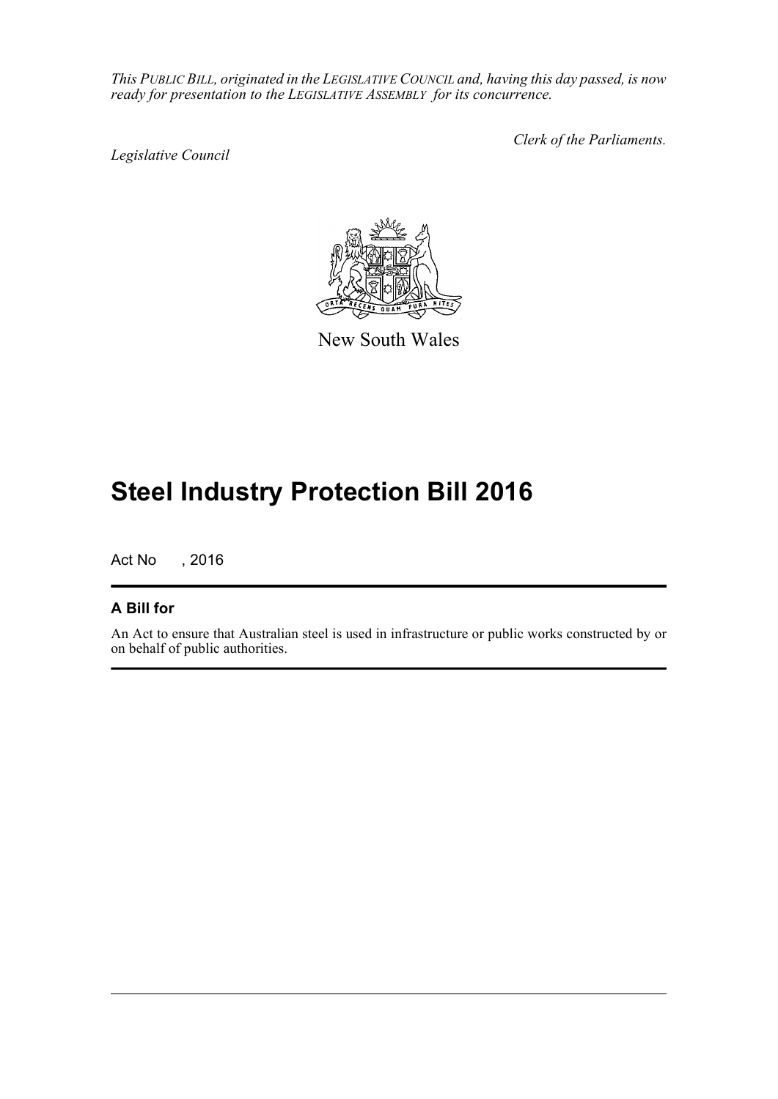*This PUBLIC BILL, originated in the LEGISLATIVE COUNCIL and, having this day passed, is now ready for presentation to the LEGISLATIVE ASSEMBLY for its concurrence.*

*Legislative Council*

*Clerk of the Parliaments.*



New South Wales

## **Steel Industry Protection Bill 2016**

Act No , 2016

### **A Bill for**

An Act to ensure that Australian steel is used in infrastructure or public works constructed by or on behalf of public authorities.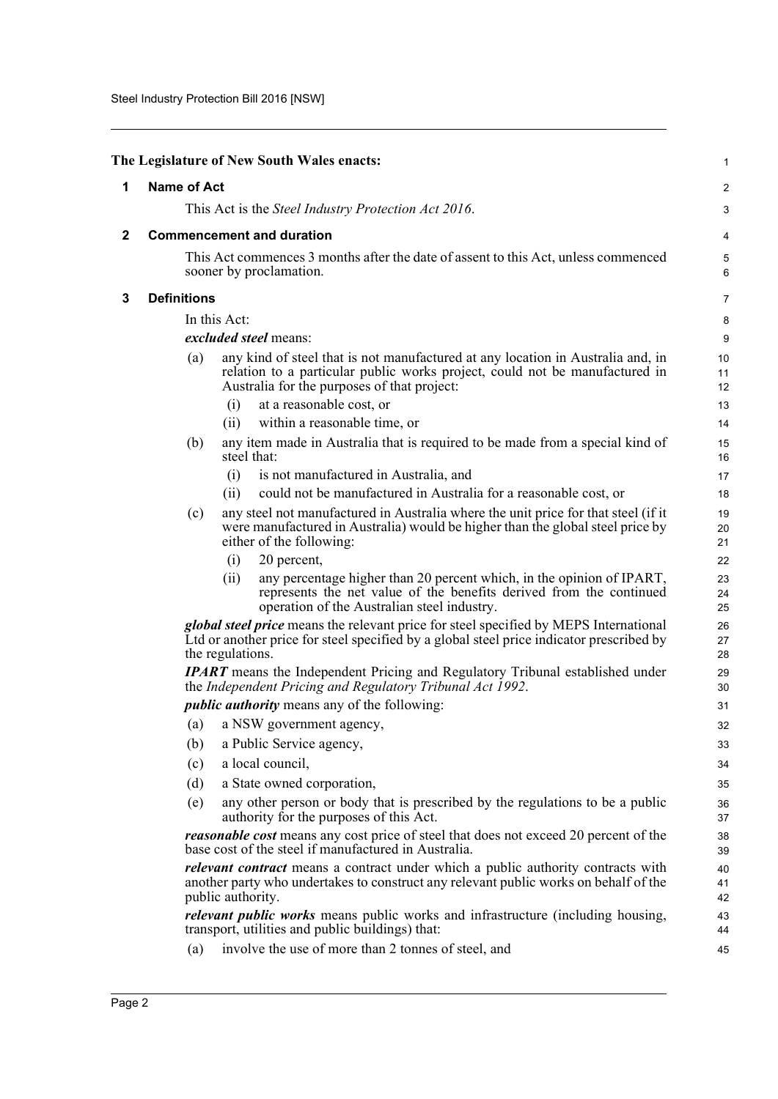<span id="page-2-2"></span><span id="page-2-1"></span><span id="page-2-0"></span>

|              |                    |                   | The Legislature of New South Wales enacts:                                                                                                                                                                    | 1              |
|--------------|--------------------|-------------------|---------------------------------------------------------------------------------------------------------------------------------------------------------------------------------------------------------------|----------------|
| 1            | <b>Name of Act</b> |                   |                                                                                                                                                                                                               | $\overline{c}$ |
|              |                    |                   | This Act is the Steel Industry Protection Act 2016.                                                                                                                                                           | 3              |
| $\mathbf{2}$ |                    |                   | <b>Commencement and duration</b>                                                                                                                                                                              | 4              |
|              |                    |                   | This Act commences 3 months after the date of assent to this Act, unless commenced<br>sooner by proclamation.                                                                                                 | 5<br>6         |
| 3            | <b>Definitions</b> |                   |                                                                                                                                                                                                               | 7              |
|              |                    | In this Act:      |                                                                                                                                                                                                               | 8              |
|              |                    |                   | excluded steel means:                                                                                                                                                                                         | 9              |
|              | (a)                |                   | any kind of steel that is not manufactured at any location in Australia and, in<br>relation to a particular public works project, could not be manufactured in<br>Australia for the purposes of that project: | 10<br>11<br>12 |
|              |                    | (i)               | at a reasonable cost, or                                                                                                                                                                                      | 13             |
|              |                    | (ii)              | within a reasonable time, or                                                                                                                                                                                  | 14             |
|              | (b)                |                   | any item made in Australia that is required to be made from a special kind of<br>steel that:                                                                                                                  | 15<br>16       |
|              |                    | (i)               | is not manufactured in Australia, and                                                                                                                                                                         | 17             |
|              |                    | (ii)              | could not be manufactured in Australia for a reasonable cost, or                                                                                                                                              | 18             |
|              | (c)                |                   | any steel not manufactured in Australia where the unit price for that steel (if it<br>were manufactured in Australia) would be higher than the global steel price by<br>either of the following:              | 19<br>20<br>21 |
|              |                    | (i)               | 20 percent,                                                                                                                                                                                                   | 22             |
|              |                    | (ii)              | any percentage higher than 20 percent which, in the opinion of IPART,<br>represents the net value of the benefits derived from the continued<br>operation of the Australian steel industry.                   | 23<br>24<br>25 |
|              |                    | the regulations.  | <i>global steel price</i> means the relevant price for steel specified by MEPS International<br>Ltd or another price for steel specified by a global steel price indicator prescribed by                      | 26<br>27<br>28 |
|              |                    |                   | <b>IPART</b> means the Independent Pricing and Regulatory Tribunal established under<br>the Independent Pricing and Regulatory Tribunal Act 1992.                                                             | 29<br>30       |
|              |                    |                   | <i>public authority</i> means any of the following:                                                                                                                                                           | 31             |
|              |                    |                   | (a) a NSW government agency,                                                                                                                                                                                  | 32             |
|              | (b)                |                   | a Public Service agency,                                                                                                                                                                                      | 33             |
|              | (c)                |                   | a local council,                                                                                                                                                                                              | 34             |
|              | (d)                |                   | a State owned corporation,                                                                                                                                                                                    | 35             |
|              | (e)                |                   | any other person or body that is prescribed by the regulations to be a public<br>authority for the purposes of this Act.                                                                                      | 36<br>37       |
|              |                    |                   | <i>reasonable cost</i> means any cost price of steel that does not exceed 20 percent of the<br>base cost of the steel if manufactured in Australia.                                                           | 38<br>39       |
|              |                    | public authority. | <i>relevant contract</i> means a contract under which a public authority contracts with<br>another party who undertakes to construct any relevant public works on behalf of the                               | 40<br>41<br>42 |
|              |                    |                   | relevant public works means public works and infrastructure (including housing,<br>transport, utilities and public buildings) that:                                                                           | 43<br>44       |
|              | (a)                |                   | involve the use of more than 2 tonnes of steel, and                                                                                                                                                           | 45             |
|              |                    |                   |                                                                                                                                                                                                               |                |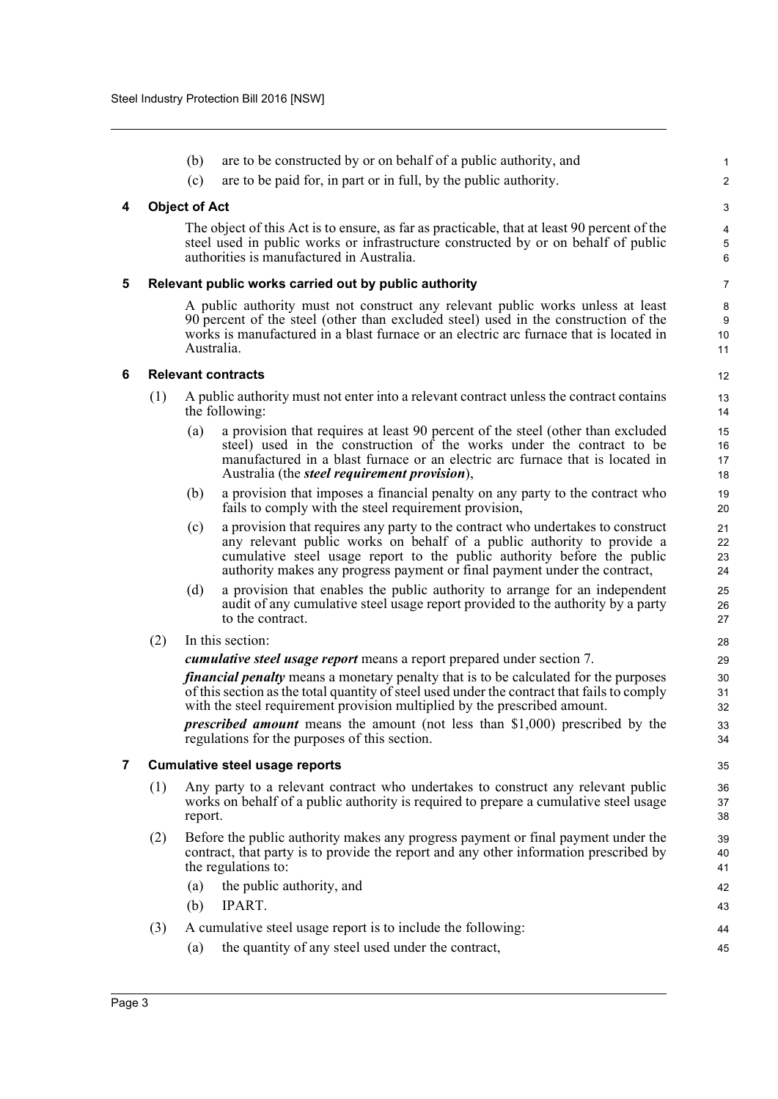<span id="page-3-3"></span><span id="page-3-2"></span><span id="page-3-1"></span><span id="page-3-0"></span>

|   |     | (b)                                                                                                       | are to be constructed by or on behalf of a public authority, and                                                                                                                                                                                                                                                  | 1                    |  |  |  |
|---|-----|-----------------------------------------------------------------------------------------------------------|-------------------------------------------------------------------------------------------------------------------------------------------------------------------------------------------------------------------------------------------------------------------------------------------------------------------|----------------------|--|--|--|
|   |     | (c)                                                                                                       | are to be paid for, in part or in full, by the public authority.                                                                                                                                                                                                                                                  | $\overline{c}$       |  |  |  |
| 4 |     | <b>Object of Act</b>                                                                                      |                                                                                                                                                                                                                                                                                                                   | 3                    |  |  |  |
|   |     |                                                                                                           | The object of this Act is to ensure, as far as practicable, that at least 90 percent of the<br>steel used in public works or infrastructure constructed by or on behalf of public<br>authorities is manufactured in Australia.                                                                                    | 4<br>5<br>6          |  |  |  |
| 5 |     |                                                                                                           | Relevant public works carried out by public authority                                                                                                                                                                                                                                                             | $\overline{7}$       |  |  |  |
|   |     | Australia.                                                                                                | A public authority must not construct any relevant public works unless at least<br>90 percent of the steel (other than excluded steel) used in the construction of the<br>works is manufactured in a blast furnace or an electric arc furnace that is located in                                                  | 8<br>9<br>10<br>11   |  |  |  |
| 6 |     |                                                                                                           | <b>Relevant contracts</b>                                                                                                                                                                                                                                                                                         | 12                   |  |  |  |
|   | (1) | A public authority must not enter into a relevant contract unless the contract contains<br>the following: |                                                                                                                                                                                                                                                                                                                   |                      |  |  |  |
|   |     | (a)                                                                                                       | a provision that requires at least 90 percent of the steel (other than excluded<br>steel) used in the construction of the works under the contract to be<br>manufactured in a blast furnace or an electric arc furnace that is located in<br>Australia (the <i>steel requirement provision</i> ),                 | 15<br>16<br>17<br>18 |  |  |  |
|   |     | (b)                                                                                                       | a provision that imposes a financial penalty on any party to the contract who<br>fails to comply with the steel requirement provision,                                                                                                                                                                            | 19<br>20             |  |  |  |
|   |     | (c)                                                                                                       | a provision that requires any party to the contract who undertakes to construct<br>any relevant public works on behalf of a public authority to provide a<br>cumulative steel usage report to the public authority before the public<br>authority makes any progress payment or final payment under the contract, | 21<br>22<br>23<br>24 |  |  |  |
|   |     | (d)                                                                                                       | a provision that enables the public authority to arrange for an independent<br>audit of any cumulative steel usage report provided to the authority by a party<br>to the contract.                                                                                                                                | 25<br>26<br>27       |  |  |  |
|   | (2) |                                                                                                           | In this section:                                                                                                                                                                                                                                                                                                  | 28                   |  |  |  |
|   |     | cumulative steel usage report means a report prepared under section 7.                                    |                                                                                                                                                                                                                                                                                                                   |                      |  |  |  |
|   |     |                                                                                                           | <i>financial penalty</i> means a monetary penalty that is to be calculated for the purposes<br>of this section as the total quantity of steel used under the contract that fails to comply<br>with the steel requirement provision multiplied by the prescribed amount.                                           | 30<br>31<br>32       |  |  |  |
|   |     |                                                                                                           | <i>prescribed amount</i> means the amount (not less than \$1,000) prescribed by the<br>regulations for the purposes of this section.                                                                                                                                                                              | 33<br>34             |  |  |  |
| 7 |     | <b>Cumulative steel usage reports</b>                                                                     |                                                                                                                                                                                                                                                                                                                   |                      |  |  |  |
|   | (1) | report.                                                                                                   | Any party to a relevant contract who undertakes to construct any relevant public<br>works on behalf of a public authority is required to prepare a cumulative steel usage                                                                                                                                         | 36<br>37<br>38       |  |  |  |
|   | (2) |                                                                                                           | Before the public authority makes any progress payment or final payment under the<br>contract, that party is to provide the report and any other information prescribed by<br>the regulations to:                                                                                                                 | 39<br>40<br>41       |  |  |  |
|   |     | (a)                                                                                                       | the public authority, and                                                                                                                                                                                                                                                                                         | 42                   |  |  |  |
|   |     | (b)                                                                                                       | IPART.                                                                                                                                                                                                                                                                                                            | 43                   |  |  |  |
|   | (3) | (a)                                                                                                       | A cumulative steel usage report is to include the following:<br>the quantity of any steel used under the contract,                                                                                                                                                                                                | 44<br>45             |  |  |  |
|   |     |                                                                                                           |                                                                                                                                                                                                                                                                                                                   |                      |  |  |  |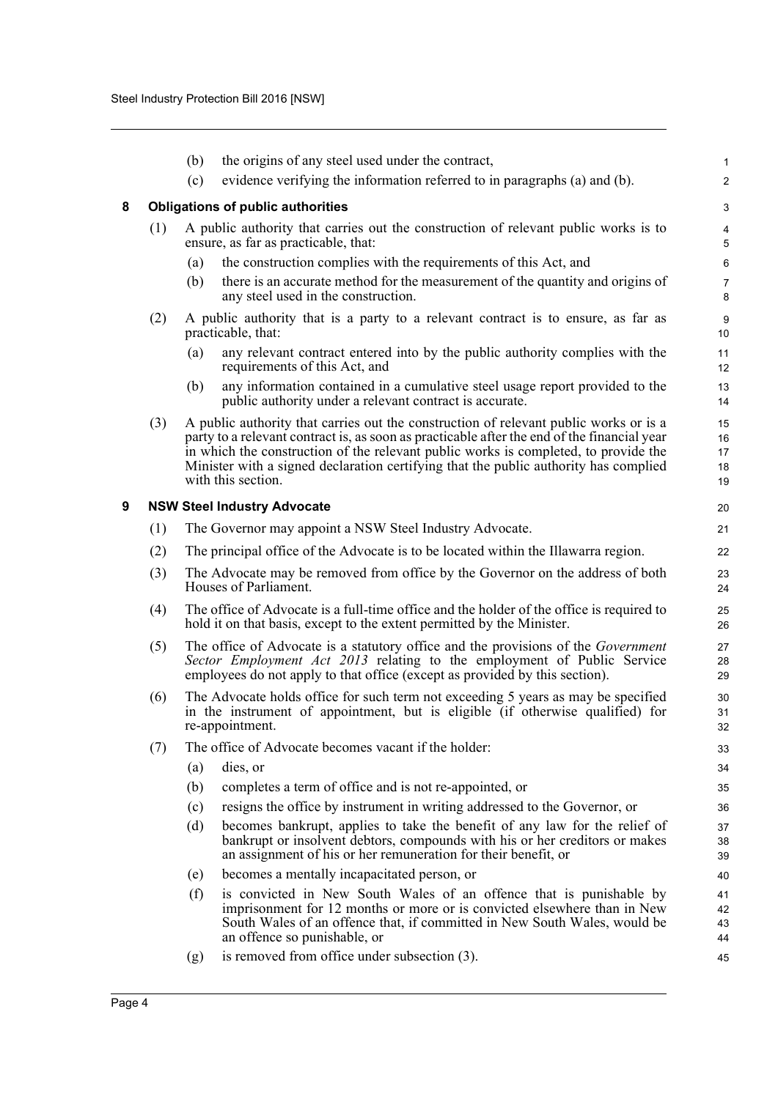<span id="page-4-1"></span><span id="page-4-0"></span>

|     |     | (b)                                                                                                                                                                                                                                                                                                                          | the origins of any steel used under the contract,                                                                                                                                                                                                                                                                                                                                         | $\mathbf{1}$               |  |
|-----|-----|------------------------------------------------------------------------------------------------------------------------------------------------------------------------------------------------------------------------------------------------------------------------------------------------------------------------------|-------------------------------------------------------------------------------------------------------------------------------------------------------------------------------------------------------------------------------------------------------------------------------------------------------------------------------------------------------------------------------------------|----------------------------|--|
|     |     | (c)                                                                                                                                                                                                                                                                                                                          | evidence verifying the information referred to in paragraphs (a) and (b).                                                                                                                                                                                                                                                                                                                 | $\overline{2}$             |  |
| 8   |     |                                                                                                                                                                                                                                                                                                                              | <b>Obligations of public authorities</b>                                                                                                                                                                                                                                                                                                                                                  | 3                          |  |
|     | (1) |                                                                                                                                                                                                                                                                                                                              | A public authority that carries out the construction of relevant public works is to<br>ensure, as far as practicable, that:                                                                                                                                                                                                                                                               | 4<br>5                     |  |
|     |     | (a)                                                                                                                                                                                                                                                                                                                          | the construction complies with the requirements of this Act, and                                                                                                                                                                                                                                                                                                                          | 6                          |  |
|     |     | (b)                                                                                                                                                                                                                                                                                                                          | there is an accurate method for the measurement of the quantity and origins of<br>any steel used in the construction.                                                                                                                                                                                                                                                                     | $\overline{7}$<br>8        |  |
|     | (2) |                                                                                                                                                                                                                                                                                                                              | A public authority that is a party to a relevant contract is to ensure, as far as<br>practicable, that:                                                                                                                                                                                                                                                                                   | 9<br>10                    |  |
|     |     | (a)                                                                                                                                                                                                                                                                                                                          | any relevant contract entered into by the public authority complies with the<br>requirements of this Act, and                                                                                                                                                                                                                                                                             | 11<br>12                   |  |
|     |     | (b)                                                                                                                                                                                                                                                                                                                          | any information contained in a cumulative steel usage report provided to the<br>public authority under a relevant contract is accurate.                                                                                                                                                                                                                                                   | 13<br>14                   |  |
|     | (3) |                                                                                                                                                                                                                                                                                                                              | A public authority that carries out the construction of relevant public works or is a<br>party to a relevant contract is, as soon as practicable after the end of the financial year<br>in which the construction of the relevant public works is completed, to provide the<br>Minister with a signed declaration certifying that the public authority has complied<br>with this section. | 15<br>16<br>17<br>18<br>19 |  |
| 9   |     |                                                                                                                                                                                                                                                                                                                              | <b>NSW Steel Industry Advocate</b>                                                                                                                                                                                                                                                                                                                                                        | 20                         |  |
|     | (1) |                                                                                                                                                                                                                                                                                                                              | The Governor may appoint a NSW Steel Industry Advocate.                                                                                                                                                                                                                                                                                                                                   | 21                         |  |
|     | (2) |                                                                                                                                                                                                                                                                                                                              | The principal office of the Advocate is to be located within the Illawarra region.                                                                                                                                                                                                                                                                                                        | 22                         |  |
|     | (3) |                                                                                                                                                                                                                                                                                                                              | The Advocate may be removed from office by the Governor on the address of both<br>Houses of Parliament.                                                                                                                                                                                                                                                                                   | 23<br>24                   |  |
|     | (4) |                                                                                                                                                                                                                                                                                                                              | The office of Advocate is a full-time office and the holder of the office is required to                                                                                                                                                                                                                                                                                                  | 25<br>26                   |  |
|     | (5) | hold it on that basis, except to the extent permitted by the Minister.<br>The office of Advocate is a statutory office and the provisions of the <i>Government</i><br>Sector Employment Act 2013 relating to the employment of Public Service<br>employees do not apply to that office (except as provided by this section). |                                                                                                                                                                                                                                                                                                                                                                                           |                            |  |
| (6) |     | The Advocate holds office for such term not exceeding 5 years as may be specified<br>in the instrument of appointment, but is eligible (if otherwise qualified) for<br>re-appointment.                                                                                                                                       |                                                                                                                                                                                                                                                                                                                                                                                           |                            |  |
|     | (7) |                                                                                                                                                                                                                                                                                                                              | The office of Advocate becomes vacant if the holder:                                                                                                                                                                                                                                                                                                                                      | 33                         |  |
|     |     | (a)                                                                                                                                                                                                                                                                                                                          | dies, or                                                                                                                                                                                                                                                                                                                                                                                  | 34                         |  |
|     |     | (b)                                                                                                                                                                                                                                                                                                                          | completes a term of office and is not re-appointed, or                                                                                                                                                                                                                                                                                                                                    | 35                         |  |
|     |     | (c)                                                                                                                                                                                                                                                                                                                          | resigns the office by instrument in writing addressed to the Governor, or                                                                                                                                                                                                                                                                                                                 | 36                         |  |
|     |     | (d)                                                                                                                                                                                                                                                                                                                          | becomes bankrupt, applies to take the benefit of any law for the relief of<br>bankrupt or insolvent debtors, compounds with his or her creditors or makes<br>an assignment of his or her remuneration for their benefit, or                                                                                                                                                               | 37<br>38<br>39             |  |
|     |     | (e)                                                                                                                                                                                                                                                                                                                          | becomes a mentally incapacitated person, or                                                                                                                                                                                                                                                                                                                                               | 40                         |  |
|     |     | (f)                                                                                                                                                                                                                                                                                                                          | is convicted in New South Wales of an offence that is punishable by<br>imprisonment for 12 months or more or is convicted elsewhere than in New<br>South Wales of an offence that, if committed in New South Wales, would be<br>an offence so punishable, or                                                                                                                              | 41<br>42<br>43<br>44       |  |
|     |     | (g)                                                                                                                                                                                                                                                                                                                          | is removed from office under subsection (3).                                                                                                                                                                                                                                                                                                                                              | 45                         |  |
|     |     |                                                                                                                                                                                                                                                                                                                              |                                                                                                                                                                                                                                                                                                                                                                                           |                            |  |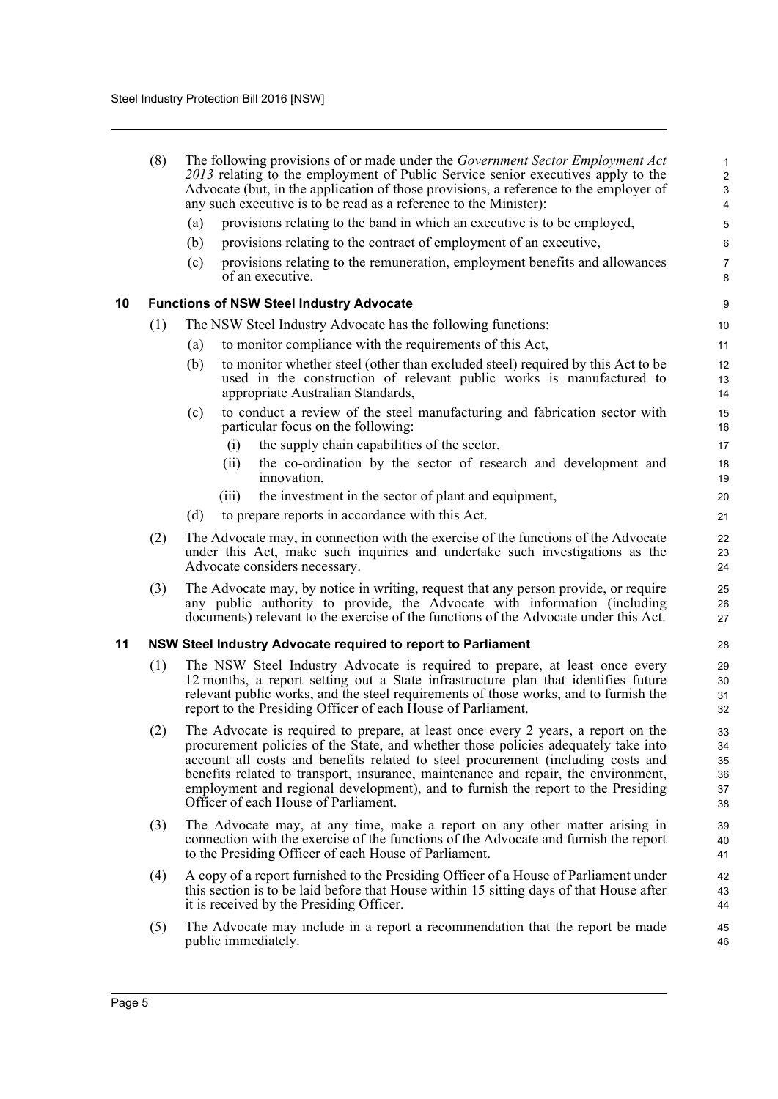<span id="page-5-1"></span><span id="page-5-0"></span>

|    | (8) | The following provisions of or made under the <i>Government Sector Employment Act</i><br>2013 relating to the employment of Public Service senior executives apply to the<br>Advocate (but, in the application of those provisions, a reference to the employer of<br>any such executive is to be read as a reference to the Minister):                                                                                                                                       | 1<br>$\overline{c}$<br>3<br>4    |
|----|-----|-------------------------------------------------------------------------------------------------------------------------------------------------------------------------------------------------------------------------------------------------------------------------------------------------------------------------------------------------------------------------------------------------------------------------------------------------------------------------------|----------------------------------|
|    |     | provisions relating to the band in which an executive is to be employed,<br>(a)                                                                                                                                                                                                                                                                                                                                                                                               | 5                                |
|    |     | provisions relating to the contract of employment of an executive,<br>(b)                                                                                                                                                                                                                                                                                                                                                                                                     | 6                                |
|    |     | provisions relating to the remuneration, employment benefits and allowances<br>(c)<br>of an executive.                                                                                                                                                                                                                                                                                                                                                                        | $\overline{7}$<br>8              |
| 10 |     | <b>Functions of NSW Steel Industry Advocate</b>                                                                                                                                                                                                                                                                                                                                                                                                                               | 9                                |
|    | (1) | The NSW Steel Industry Advocate has the following functions:                                                                                                                                                                                                                                                                                                                                                                                                                  | 10                               |
|    |     | to monitor compliance with the requirements of this Act,<br>(a)                                                                                                                                                                                                                                                                                                                                                                                                               | 11                               |
|    |     | to monitor whether steel (other than excluded steel) required by this Act to be<br>(b)<br>used in the construction of relevant public works is manufactured to<br>appropriate Australian Standards,                                                                                                                                                                                                                                                                           | 12<br>13<br>14                   |
|    |     | to conduct a review of the steel manufacturing and fabrication sector with<br>(c)<br>particular focus on the following:                                                                                                                                                                                                                                                                                                                                                       | 15<br>16                         |
|    |     | the supply chain capabilities of the sector,<br>(i)                                                                                                                                                                                                                                                                                                                                                                                                                           | 17                               |
|    |     | the co-ordination by the sector of research and development and<br>(ii)<br>innovation,                                                                                                                                                                                                                                                                                                                                                                                        | 18<br>19                         |
|    |     | the investment in the sector of plant and equipment,<br>(iii)                                                                                                                                                                                                                                                                                                                                                                                                                 | 20                               |
|    |     | to prepare reports in accordance with this Act.<br>(d)                                                                                                                                                                                                                                                                                                                                                                                                                        | 21                               |
|    | (2) | The Advocate may, in connection with the exercise of the functions of the Advocate<br>under this Act, make such inquiries and undertake such investigations as the<br>Advocate considers necessary.                                                                                                                                                                                                                                                                           | 22<br>23<br>24                   |
|    | (3) | The Advocate may, by notice in writing, request that any person provide, or require<br>any public authority to provide, the Advocate with information (including<br>documents) relevant to the exercise of the functions of the Advocate under this Act.                                                                                                                                                                                                                      | 25<br>26<br>27                   |
| 11 |     | NSW Steel Industry Advocate required to report to Parliament                                                                                                                                                                                                                                                                                                                                                                                                                  | 28                               |
|    | (1) | The NSW Steel Industry Advocate is required to prepare, at least once every<br>12 months, a report setting out a State infrastructure plan that identifies future<br>relevant public works, and the steel requirements of those works, and to furnish the<br>report to the Presiding Officer of each House of Parliament.                                                                                                                                                     | 29<br>30<br>31<br>32             |
|    | (2) | The Advocate is required to prepare, at least once every 2 years, a report on the<br>procurement policies of the State, and whether those policies adequately take into<br>account all costs and benefits related to steel procurement (including costs and<br>benefits related to transport, insurance, maintenance and repair, the environment,<br>employment and regional development), and to furnish the report to the Presiding<br>Officer of each House of Parliament. | 33<br>34<br>35<br>36<br>37<br>38 |
|    | (3) | The Advocate may, at any time, make a report on any other matter arising in<br>connection with the exercise of the functions of the Advocate and furnish the report<br>to the Presiding Officer of each House of Parliament.                                                                                                                                                                                                                                                  | 39<br>40<br>41                   |
|    | (4) | A copy of a report furnished to the Presiding Officer of a House of Parliament under<br>this section is to be laid before that House within 15 sitting days of that House after<br>it is received by the Presiding Officer.                                                                                                                                                                                                                                                   | 42<br>43<br>44                   |
|    | (5) | The Advocate may include in a report a recommendation that the report be made<br>public immediately.                                                                                                                                                                                                                                                                                                                                                                          | 45<br>46                         |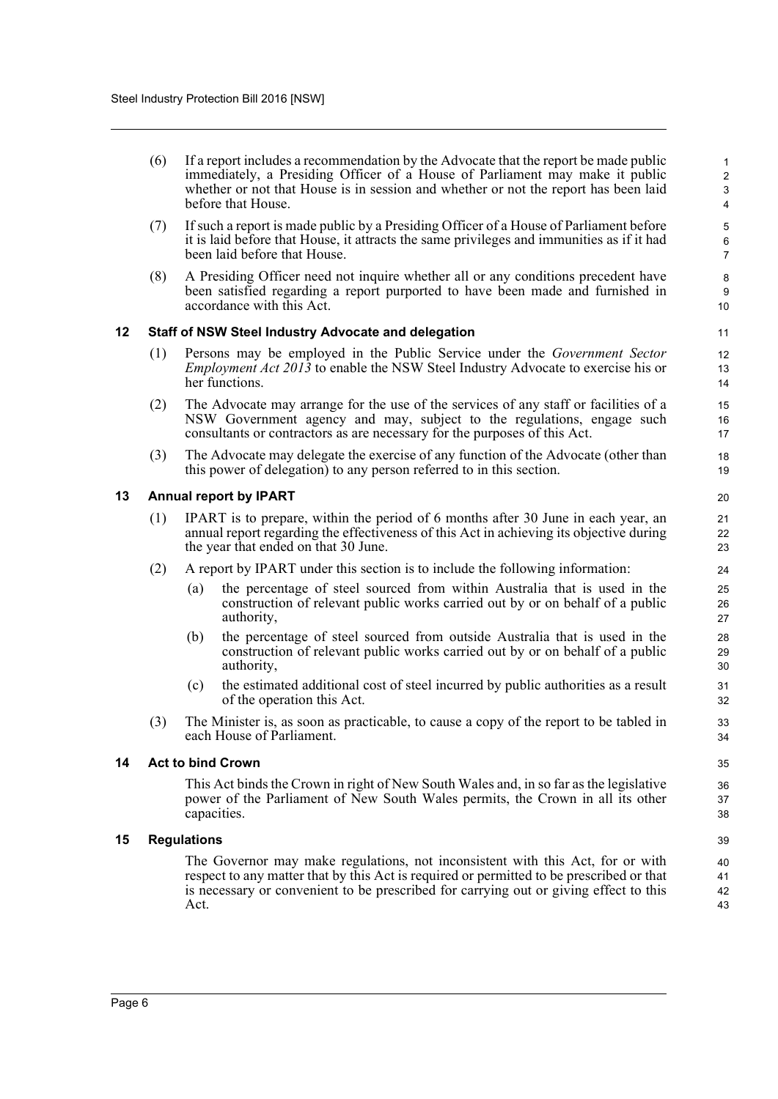| (6) | If a report includes a recommendation by the Advocate that the report be made public                                                                                                      |  |
|-----|-------------------------------------------------------------------------------------------------------------------------------------------------------------------------------------------|--|
|     | immediately, a Presiding Officer of a House of Parliament may make it public<br>whether or not that House is in session and whether or not the report has been laid<br>before that House. |  |
|     |                                                                                                                                                                                           |  |

- (7) If such a report is made public by a Presiding Officer of a House of Parliament before it is laid before that House, it attracts the same privileges and immunities as if it had been laid before that House.
- (8) A Presiding Officer need not inquire whether all or any conditions precedent have been satisfied regarding a report purported to have been made and furnished in accordance with this Act.

#### <span id="page-6-0"></span>**12 Staff of NSW Steel Industry Advocate and delegation**

- (1) Persons may be employed in the Public Service under the *Government Sector Employment Act 2013* to enable the NSW Steel Industry Advocate to exercise his or her functions.
- (2) The Advocate may arrange for the use of the services of any staff or facilities of a NSW Government agency and may, subject to the regulations, engage such consultants or contractors as are necessary for the purposes of this Act.
- (3) The Advocate may delegate the exercise of any function of the Advocate (other than this power of delegation) to any person referred to in this section.

#### <span id="page-6-1"></span>**13 Annual report by IPART**

- (1) IPART is to prepare, within the period of 6 months after 30 June in each year, an annual report regarding the effectiveness of this Act in achieving its objective during the year that ended on that 30 June.
- (2) A report by IPART under this section is to include the following information:
	- (a) the percentage of steel sourced from within Australia that is used in the construction of relevant public works carried out by or on behalf of a public authority,
	- (b) the percentage of steel sourced from outside Australia that is used in the construction of relevant public works carried out by or on behalf of a public authority,
	- (c) the estimated additional cost of steel incurred by public authorities as a result of the operation this Act.
- (3) The Minister is, as soon as practicable, to cause a copy of the report to be tabled in each House of Parliament.

#### <span id="page-6-2"></span>**14 Act to bind Crown**

This Act binds the Crown in right of New South Wales and, in so far as the legislative power of the Parliament of New South Wales permits, the Crown in all its other capacities.

#### <span id="page-6-3"></span>**15 Regulations**

The Governor may make regulations, not inconsistent with this Act, for or with respect to any matter that by this Act is required or permitted to be prescribed or that is necessary or convenient to be prescribed for carrying out or giving effect to this Act.